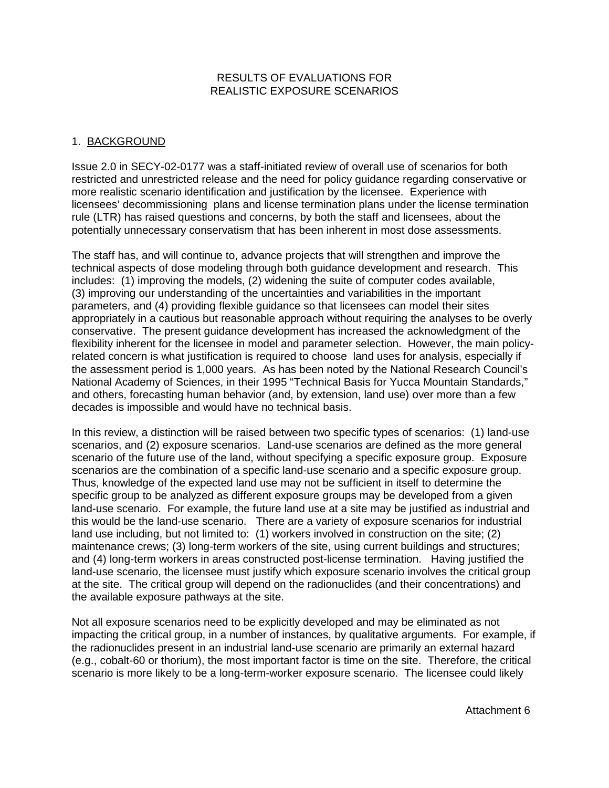## RESULTS OF EVALUATIONS FOR REALISTIC EXPOSURE SCENARIOS

# 1. BACKGROUND

Issue 2.0 in SECY-02-0177 was a staff-initiated review of overall use of scenarios for both restricted and unrestricted release and the need for policy guidance regarding conservative or more realistic scenario identification and justification by the licensee. Experience with licensees' decommissioning plans and license termination plans under the license termination rule (LTR) has raised questions and concerns, by both the staff and licensees, about the potentially unnecessary conservatism that has been inherent in most dose assessments.

The staff has, and will continue to, advance projects that will strengthen and improve the technical aspects of dose modeling through both guidance development and research. This includes: (1) improving the models, (2) widening the suite of computer codes available, (3) improving our understanding of the uncertainties and variabilities in the important parameters, and (4) providing flexible guidance so that licensees can model their sites appropriately in a cautious but reasonable approach without requiring the analyses to be overly conservative. The present guidance development has increased the acknowledgment of the flexibility inherent for the licensee in model and parameter selection. However, the main policyrelated concern is what justification is required to choose land uses for analysis, especially if the assessment period is 1,000 years. As has been noted by the National Research Council's National Academy of Sciences, in their 1995 "Technical Basis for Yucca Mountain Standards," and others, forecasting human behavior (and, by extension, land use) over more than a few decades is impossible and would have no technical basis.

In this review, a distinction will be raised between two specific types of scenarios: (1) land-use scenarios, and (2) exposure scenarios. Land-use scenarios are defined as the more general scenario of the future use of the land, without specifying a specific exposure group. Exposure scenarios are the combination of a specific land-use scenario and a specific exposure group. Thus, knowledge of the expected land use may not be sufficient in itself to determine the specific group to be analyzed as different exposure groups may be developed from a given land-use scenario. For example, the future land use at a site may be justified as industrial and this would be the land-use scenario. There are a variety of exposure scenarios for industrial land use including, but not limited to: (1) workers involved in construction on the site; (2) maintenance crews; (3) long-term workers of the site, using current buildings and structures; and (4) long-term workers in areas constructed post-license termination. Having justified the land-use scenario, the licensee must justify which exposure scenario involves the critical group at the site. The critical group will depend on the radionuclides (and their concentrations) and the available exposure pathways at the site.

Not all exposure scenarios need to be explicitly developed and may be eliminated as not impacting the critical group, in a number of instances, by qualitative arguments. For example, if the radionuclides present in an industrial land-use scenario are primarily an external hazard (e.g., cobalt-60 or thorium), the most important factor is time on the site. Therefore, the critical scenario is more likely to be a long-term-worker exposure scenario. The licensee could likely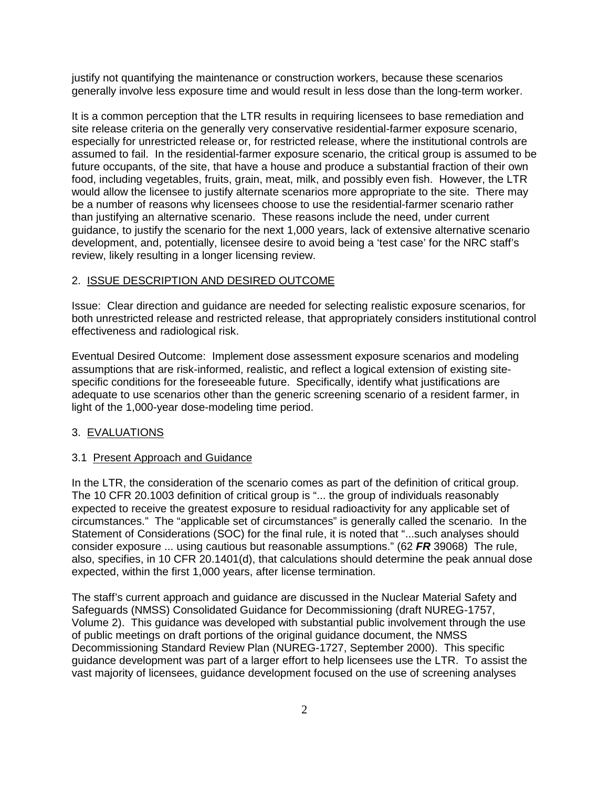justify not quantifying the maintenance or construction workers, because these scenarios generally involve less exposure time and would result in less dose than the long-term worker.

It is a common perception that the LTR results in requiring licensees to base remediation and site release criteria on the generally very conservative residential-farmer exposure scenario, especially for unrestricted release or, for restricted release, where the institutional controls are assumed to fail. In the residential-farmer exposure scenario, the critical group is assumed to be future occupants, of the site, that have a house and produce a substantial fraction of their own food, including vegetables, fruits, grain, meat, milk, and possibly even fish. However, the LTR would allow the licensee to justify alternate scenarios more appropriate to the site. There may be a number of reasons why licensees choose to use the residential-farmer scenario rather than justifying an alternative scenario. These reasons include the need, under current guidance, to justify the scenario for the next 1,000 years, lack of extensive alternative scenario development, and, potentially, licensee desire to avoid being a 'test case' for the NRC staff's review, likely resulting in a longer licensing review.

## 2. ISSUE DESCRIPTION AND DESIRED OUTCOME

Issue: Clear direction and guidance are needed for selecting realistic exposure scenarios, for both unrestricted release and restricted release, that appropriately considers institutional control effectiveness and radiological risk.

Eventual Desired Outcome: Implement dose assessment exposure scenarios and modeling assumptions that are risk-informed, realistic, and reflect a logical extension of existing sitespecific conditions for the foreseeable future. Specifically, identify what justifications are adequate to use scenarios other than the generic screening scenario of a resident farmer, in light of the 1,000-year dose-modeling time period.

### 3. EVALUATIONS

#### 3.1 Present Approach and Guidance

In the LTR, the consideration of the scenario comes as part of the definition of critical group. The 10 CFR 20.1003 definition of critical group is "... the group of individuals reasonably expected to receive the greatest exposure to residual radioactivity for any applicable set of circumstances." The "applicable set of circumstances" is generally called the scenario. In the Statement of Considerations (SOC) for the final rule, it is noted that "...such analyses should consider exposure ... using cautious but reasonable assumptions." (62 **FR** 39068) The rule, also, specifies, in 10 CFR 20.1401(d), that calculations should determine the peak annual dose expected, within the first 1,000 years, after license termination.

The staff's current approach and guidance are discussed in the Nuclear Material Safety and Safeguards (NMSS) Consolidated Guidance for Decommissioning (draft NUREG-1757, Volume 2). This guidance was developed with substantial public involvement through the use of public meetings on draft portions of the original guidance document, the NMSS Decommissioning Standard Review Plan (NUREG-1727, September 2000). This specific guidance development was part of a larger effort to help licensees use the LTR. To assist the vast majority of licensees, guidance development focused on the use of screening analyses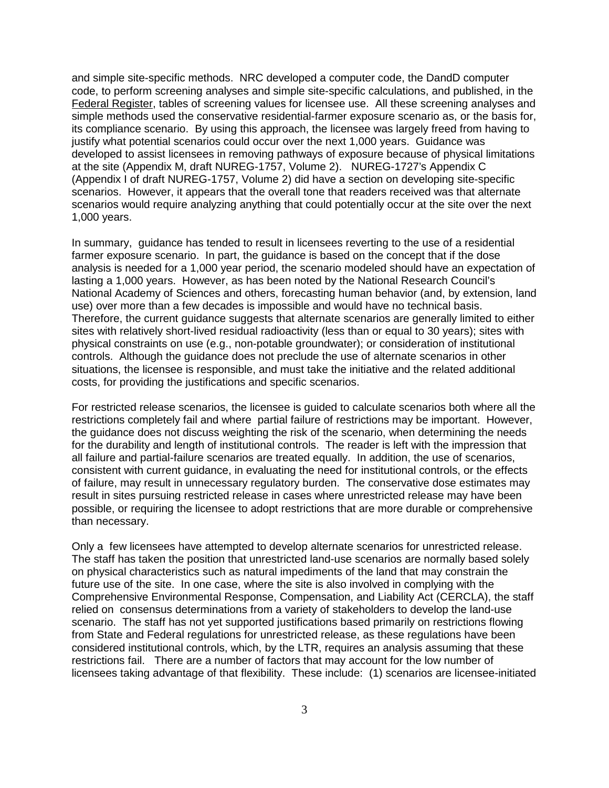and simple site-specific methods. NRC developed a computer code, the DandD computer code, to perform screening analyses and simple site-specific calculations, and published, in the Federal Register, tables of screening values for licensee use. All these screening analyses and simple methods used the conservative residential-farmer exposure scenario as, or the basis for, its compliance scenario. By using this approach, the licensee was largely freed from having to justify what potential scenarios could occur over the next 1,000 years. Guidance was developed to assist licensees in removing pathways of exposure because of physical limitations at the site (Appendix M, draft NUREG-1757, Volume 2). NUREG-1727's Appendix C (Appendix I of draft NUREG-1757, Volume 2) did have a section on developing site-specific scenarios. However, it appears that the overall tone that readers received was that alternate scenarios would require analyzing anything that could potentially occur at the site over the next 1,000 years.

In summary, guidance has tended to result in licensees reverting to the use of a residential farmer exposure scenario. In part, the guidance is based on the concept that if the dose analysis is needed for a 1,000 year period, the scenario modeled should have an expectation of lasting a 1,000 years. However, as has been noted by the National Research Council's National Academy of Sciences and others, forecasting human behavior (and, by extension, land use) over more than a few decades is impossible and would have no technical basis. Therefore, the current guidance suggests that alternate scenarios are generally limited to either sites with relatively short-lived residual radioactivity (less than or equal to 30 years); sites with physical constraints on use (e.g., non-potable groundwater); or consideration of institutional controls. Although the guidance does not preclude the use of alternate scenarios in other situations, the licensee is responsible, and must take the initiative and the related additional costs, for providing the justifications and specific scenarios.

For restricted release scenarios, the licensee is guided to calculate scenarios both where all the restrictions completely fail and where partial failure of restrictions may be important. However, the guidance does not discuss weighting the risk of the scenario, when determining the needs for the durability and length of institutional controls. The reader is left with the impression that all failure and partial-failure scenarios are treated equally. In addition, the use of scenarios, consistent with current guidance, in evaluating the need for institutional controls, or the effects of failure, may result in unnecessary regulatory burden. The conservative dose estimates may result in sites pursuing restricted release in cases where unrestricted release may have been possible, or requiring the licensee to adopt restrictions that are more durable or comprehensive than necessary.

Only a few licensees have attempted to develop alternate scenarios for unrestricted release. The staff has taken the position that unrestricted land-use scenarios are normally based solely on physical characteristics such as natural impediments of the land that may constrain the future use of the site. In one case, where the site is also involved in complying with the Comprehensive Environmental Response, Compensation, and Liability Act (CERCLA), the staff relied on consensus determinations from a variety of stakeholders to develop the land-use scenario. The staff has not yet supported justifications based primarily on restrictions flowing from State and Federal regulations for unrestricted release, as these regulations have been considered institutional controls, which, by the LTR, requires an analysis assuming that these restrictions fail. There are a number of factors that may account for the low number of licensees taking advantage of that flexibility. These include: (1) scenarios are licensee-initiated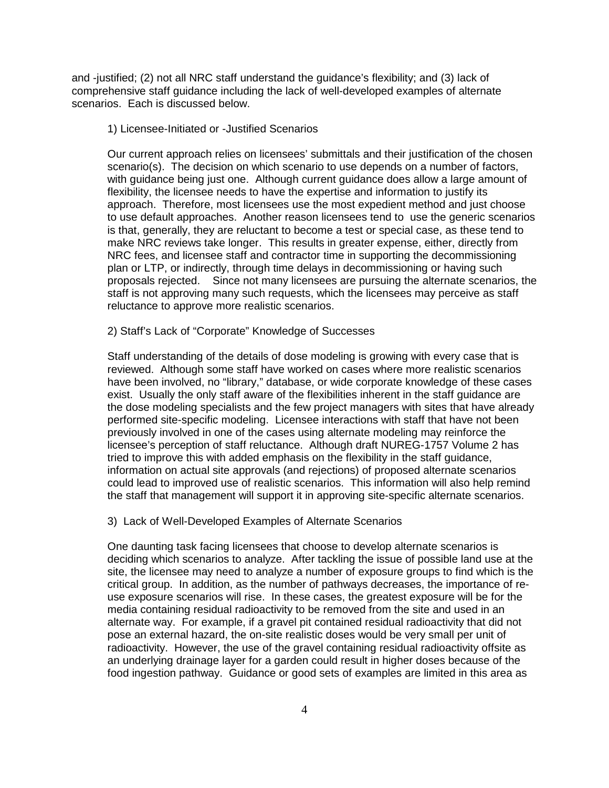and -justified; (2) not all NRC staff understand the guidance's flexibility; and (3) lack of comprehensive staff guidance including the lack of well-developed examples of alternate scenarios. Each is discussed below.

1) Licensee-Initiated or -Justified Scenarios

Our current approach relies on licensees' submittals and their justification of the chosen scenario(s). The decision on which scenario to use depends on a number of factors, with guidance being just one. Although current guidance does allow a large amount of flexibility, the licensee needs to have the expertise and information to justify its approach. Therefore, most licensees use the most expedient method and just choose to use default approaches. Another reason licensees tend to use the generic scenarios is that, generally, they are reluctant to become a test or special case, as these tend to make NRC reviews take longer. This results in greater expense, either, directly from NRC fees, and licensee staff and contractor time in supporting the decommissioning plan or LTP, or indirectly, through time delays in decommissioning or having such proposals rejected. Since not many licensees are pursuing the alternate scenarios, the staff is not approving many such requests, which the licensees may perceive as staff reluctance to approve more realistic scenarios.

### 2) Staff's Lack of "Corporate" Knowledge of Successes

Staff understanding of the details of dose modeling is growing with every case that is reviewed. Although some staff have worked on cases where more realistic scenarios have been involved, no "library," database, or wide corporate knowledge of these cases exist. Usually the only staff aware of the flexibilities inherent in the staff guidance are the dose modeling specialists and the few project managers with sites that have already performed site-specific modeling. Licensee interactions with staff that have not been previously involved in one of the cases using alternate modeling may reinforce the licensee's perception of staff reluctance. Although draft NUREG-1757 Volume 2 has tried to improve this with added emphasis on the flexibility in the staff guidance, information on actual site approvals (and rejections) of proposed alternate scenarios could lead to improved use of realistic scenarios. This information will also help remind the staff that management will support it in approving site-specific alternate scenarios.

#### 3) Lack of Well-Developed Examples of Alternate Scenarios

One daunting task facing licensees that choose to develop alternate scenarios is deciding which scenarios to analyze. After tackling the issue of possible land use at the site, the licensee may need to analyze a number of exposure groups to find which is the critical group. In addition, as the number of pathways decreases, the importance of reuse exposure scenarios will rise. In these cases, the greatest exposure will be for the media containing residual radioactivity to be removed from the site and used in an alternate way. For example, if a gravel pit contained residual radioactivity that did not pose an external hazard, the on-site realistic doses would be very small per unit of radioactivity. However, the use of the gravel containing residual radioactivity offsite as an underlying drainage layer for a garden could result in higher doses because of the food ingestion pathway. Guidance or good sets of examples are limited in this area as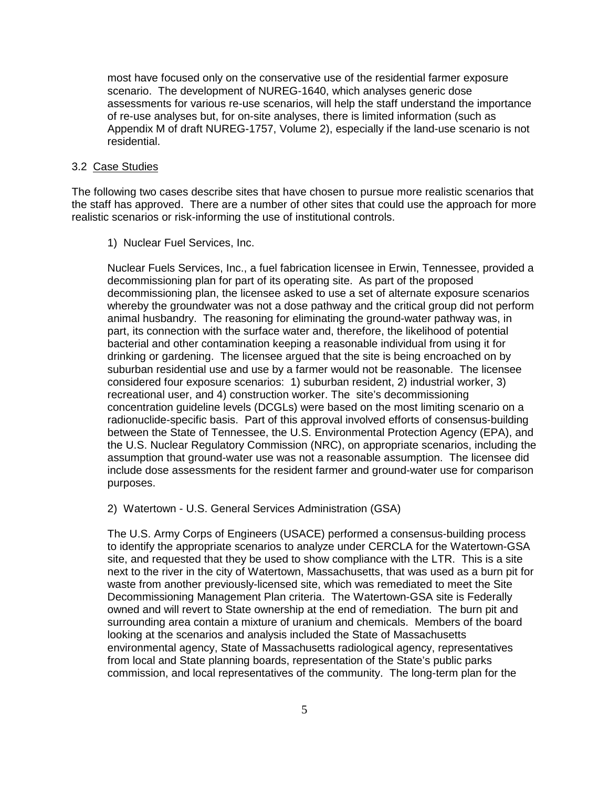most have focused only on the conservative use of the residential farmer exposure scenario. The development of NUREG-1640, which analyses generic dose assessments for various re-use scenarios, will help the staff understand the importance of re-use analyses but, for on-site analyses, there is limited information (such as Appendix M of draft NUREG-1757, Volume 2), especially if the land-use scenario is not residential.

### 3.2 Case Studies

The following two cases describe sites that have chosen to pursue more realistic scenarios that the staff has approved. There are a number of other sites that could use the approach for more realistic scenarios or risk-informing the use of institutional controls.

1) Nuclear Fuel Services, Inc.

Nuclear Fuels Services, Inc., a fuel fabrication licensee in Erwin, Tennessee, provided a decommissioning plan for part of its operating site. As part of the proposed decommissioning plan, the licensee asked to use a set of alternate exposure scenarios whereby the groundwater was not a dose pathway and the critical group did not perform animal husbandry. The reasoning for eliminating the ground-water pathway was, in part, its connection with the surface water and, therefore, the likelihood of potential bacterial and other contamination keeping a reasonable individual from using it for drinking or gardening. The licensee argued that the site is being encroached on by suburban residential use and use by a farmer would not be reasonable. The licensee considered four exposure scenarios: 1) suburban resident, 2) industrial worker, 3) recreational user, and 4) construction worker. The site's decommissioning concentration guideline levels (DCGLs) were based on the most limiting scenario on a radionuclide-specific basis. Part of this approval involved efforts of consensus-building between the State of Tennessee, the U.S. Environmental Protection Agency (EPA), and the U.S. Nuclear Regulatory Commission (NRC), on appropriate scenarios, including the assumption that ground-water use was not a reasonable assumption. The licensee did include dose assessments for the resident farmer and ground-water use for comparison purposes.

2) Watertown - U.S. General Services Administration (GSA)

The U.S. Army Corps of Engineers (USACE) performed a consensus-building process to identify the appropriate scenarios to analyze under CERCLA for the Watertown-GSA site, and requested that they be used to show compliance with the LTR. This is a site next to the river in the city of Watertown, Massachusetts, that was used as a burn pit for waste from another previously-licensed site, which was remediated to meet the Site Decommissioning Management Plan criteria. The Watertown-GSA site is Federally owned and will revert to State ownership at the end of remediation. The burn pit and surrounding area contain a mixture of uranium and chemicals. Members of the board looking at the scenarios and analysis included the State of Massachusetts environmental agency, State of Massachusetts radiological agency, representatives from local and State planning boards, representation of the State's public parks commission, and local representatives of the community. The long-term plan for the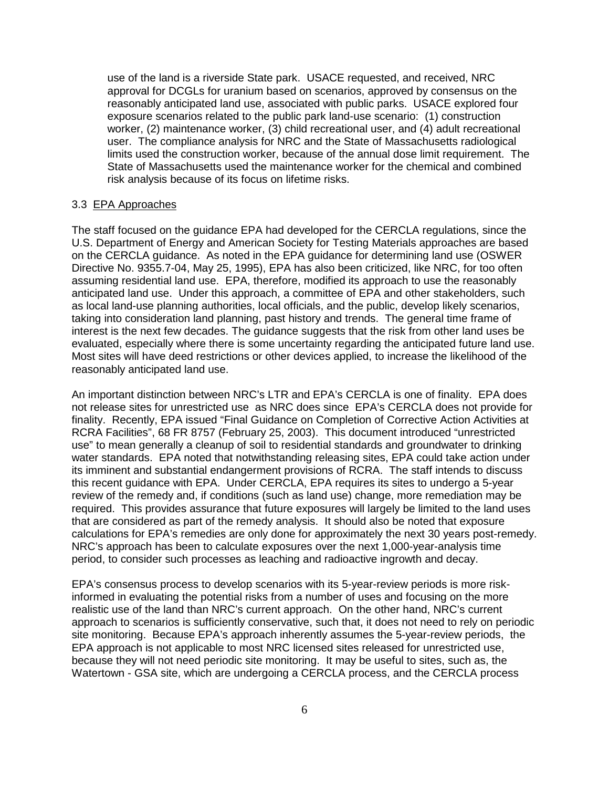use of the land is a riverside State park. USACE requested, and received, NRC approval for DCGLs for uranium based on scenarios, approved by consensus on the reasonably anticipated land use, associated with public parks. USACE explored four exposure scenarios related to the public park land-use scenario: (1) construction worker, (2) maintenance worker, (3) child recreational user, and (4) adult recreational user. The compliance analysis for NRC and the State of Massachusetts radiological limits used the construction worker, because of the annual dose limit requirement. The State of Massachusetts used the maintenance worker for the chemical and combined risk analysis because of its focus on lifetime risks.

#### 3.3 EPA Approaches

The staff focused on the guidance EPA had developed for the CERCLA regulations, since the U.S. Department of Energy and American Society for Testing Materials approaches are based on the CERCLA guidance. As noted in the EPA guidance for determining land use (OSWER Directive No. 9355.7-04, May 25, 1995), EPA has also been criticized, like NRC, for too often assuming residential land use. EPA, therefore, modified its approach to use the reasonably anticipated land use. Under this approach, a committee of EPA and other stakeholders, such as local land-use planning authorities, local officials, and the public, develop likely scenarios, taking into consideration land planning, past history and trends. The general time frame of interest is the next few decades. The guidance suggests that the risk from other land uses be evaluated, especially where there is some uncertainty regarding the anticipated future land use. Most sites will have deed restrictions or other devices applied, to increase the likelihood of the reasonably anticipated land use.

An important distinction between NRC's LTR and EPA's CERCLA is one of finality. EPA does not release sites for unrestricted use as NRC does since EPA's CERCLA does not provide for finality. Recently, EPA issued "Final Guidance on Completion of Corrective Action Activities at RCRA Facilities", 68 FR 8757 (February 25, 2003). This document introduced "unrestricted use" to mean generally a cleanup of soil to residential standards and groundwater to drinking water standards. EPA noted that notwithstanding releasing sites, EPA could take action under its imminent and substantial endangerment provisions of RCRA. The staff intends to discuss this recent guidance with EPA. Under CERCLA, EPA requires its sites to undergo a 5-year review of the remedy and, if conditions (such as land use) change, more remediation may be required. This provides assurance that future exposures will largely be limited to the land uses that are considered as part of the remedy analysis. It should also be noted that exposure calculations for EPA's remedies are only done for approximately the next 30 years post-remedy. NRC's approach has been to calculate exposures over the next 1,000-year-analysis time period, to consider such processes as leaching and radioactive ingrowth and decay.

EPA's consensus process to develop scenarios with its 5-year-review periods is more riskinformed in evaluating the potential risks from a number of uses and focusing on the more realistic use of the land than NRC's current approach. On the other hand, NRC's current approach to scenarios is sufficiently conservative, such that, it does not need to rely on periodic site monitoring. Because EPA's approach inherently assumes the 5-year-review periods, the EPA approach is not applicable to most NRC licensed sites released for unrestricted use, because they will not need periodic site monitoring. It may be useful to sites, such as, the Watertown - GSA site, which are undergoing a CERCLA process, and the CERCLA process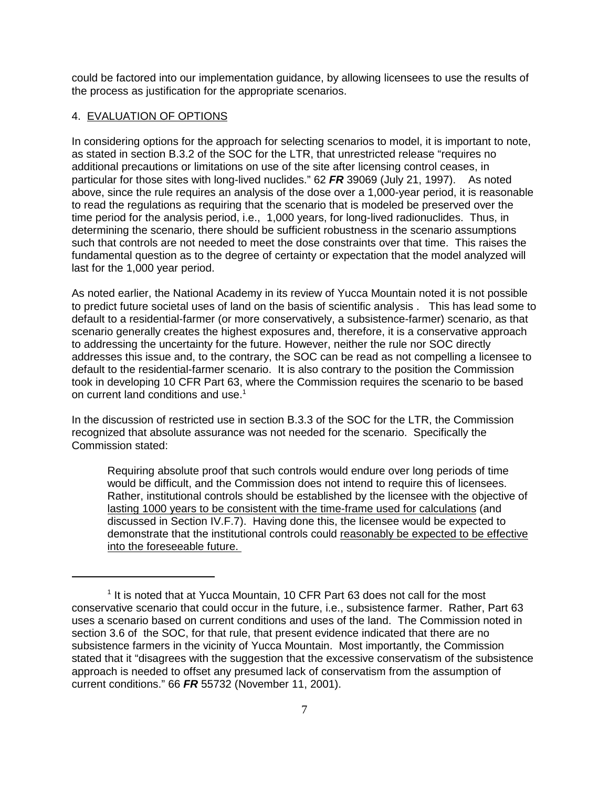could be factored into our implementation guidance, by allowing licensees to use the results of the process as justification for the appropriate scenarios.

## 4. EVALUATION OF OPTIONS

In considering options for the approach for selecting scenarios to model, it is important to note, as stated in section B.3.2 of the SOC for the LTR, that unrestricted release "requires no additional precautions or limitations on use of the site after licensing control ceases, in particular for those sites with long-lived nuclides." 62 **FR** 39069 (July 21, 1997). As noted above, since the rule requires an analysis of the dose over a 1,000-year period, it is reasonable to read the regulations as requiring that the scenario that is modeled be preserved over the time period for the analysis period, i.e., 1,000 years, for long-lived radionuclides. Thus, in determining the scenario, there should be sufficient robustness in the scenario assumptions such that controls are not needed to meet the dose constraints over that time. This raises the fundamental question as to the degree of certainty or expectation that the model analyzed will last for the 1,000 year period.

As noted earlier, the National Academy in its review of Yucca Mountain noted it is not possible to predict future societal uses of land on the basis of scientific analysis . This has lead some to default to a residential-farmer (or more conservatively, a subsistence-farmer) scenario, as that scenario generally creates the highest exposures and, therefore, it is a conservative approach to addressing the uncertainty for the future. However, neither the rule nor SOC directly addresses this issue and, to the contrary, the SOC can be read as not compelling a licensee to default to the residential-farmer scenario. It is also contrary to the position the Commission took in developing 10 CFR Part 63, where the Commission requires the scenario to be based on current land conditions and use.<sup>1</sup>

In the discussion of restricted use in section B.3.3 of the SOC for the LTR, the Commission recognized that absolute assurance was not needed for the scenario. Specifically the Commission stated:

Requiring absolute proof that such controls would endure over long periods of time would be difficult, and the Commission does not intend to require this of licensees. Rather, institutional controls should be established by the licensee with the objective of lasting 1000 years to be consistent with the time-frame used for calculations (and discussed in Section IV.F.7). Having done this, the licensee would be expected to demonstrate that the institutional controls could reasonably be expected to be effective into the foreseeable future.

<sup>&</sup>lt;sup>1</sup> It is noted that at Yucca Mountain, 10 CFR Part 63 does not call for the most conservative scenario that could occur in the future, i.e., subsistence farmer. Rather, Part 63 uses a scenario based on current conditions and uses of the land. The Commission noted in section 3.6 of the SOC, for that rule, that present evidence indicated that there are no subsistence farmers in the vicinity of Yucca Mountain. Most importantly, the Commission stated that it "disagrees with the suggestion that the excessive conservatism of the subsistence approach is needed to offset any presumed lack of conservatism from the assumption of current conditions." 66 **FR** 55732 (November 11, 2001).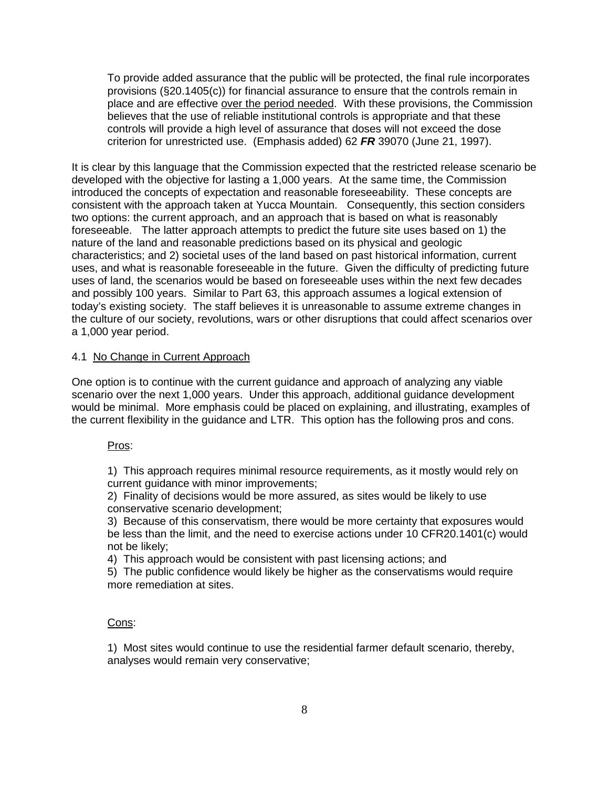To provide added assurance that the public will be protected, the final rule incorporates provisions (§20.1405(c)) for financial assurance to ensure that the controls remain in place and are effective over the period needed. With these provisions, the Commission believes that the use of reliable institutional controls is appropriate and that these controls will provide a high level of assurance that doses will not exceed the dose criterion for unrestricted use. (Emphasis added) 62 **FR** 39070 (June 21, 1997).

It is clear by this language that the Commission expected that the restricted release scenario be developed with the objective for lasting a 1,000 years. At the same time, the Commission introduced the concepts of expectation and reasonable foreseeability. These concepts are consistent with the approach taken at Yucca Mountain. Consequently, this section considers two options: the current approach, and an approach that is based on what is reasonably foreseeable. The latter approach attempts to predict the future site uses based on 1) the nature of the land and reasonable predictions based on its physical and geologic characteristics; and 2) societal uses of the land based on past historical information, current uses, and what is reasonable foreseeable in the future. Given the difficulty of predicting future uses of land, the scenarios would be based on foreseeable uses within the next few decades and possibly 100 years. Similar to Part 63, this approach assumes a logical extension of today's existing society. The staff believes it is unreasonable to assume extreme changes in the culture of our society, revolutions, wars or other disruptions that could affect scenarios over a 1,000 year period.

### 4.1 No Change in Current Approach

One option is to continue with the current guidance and approach of analyzing any viable scenario over the next 1,000 years. Under this approach, additional guidance development would be minimal. More emphasis could be placed on explaining, and illustrating, examples of the current flexibility in the guidance and LTR. This option has the following pros and cons.

#### Pros:

1) This approach requires minimal resource requirements, as it mostly would rely on current guidance with minor improvements;

2) Finality of decisions would be more assured, as sites would be likely to use conservative scenario development;

3) Because of this conservatism, there would be more certainty that exposures would be less than the limit, and the need to exercise actions under 10 CFR20.1401(c) would not be likely;

4) This approach would be consistent with past licensing actions; and

5) The public confidence would likely be higher as the conservatisms would require more remediation at sites.

#### Cons:

1) Most sites would continue to use the residential farmer default scenario, thereby, analyses would remain very conservative;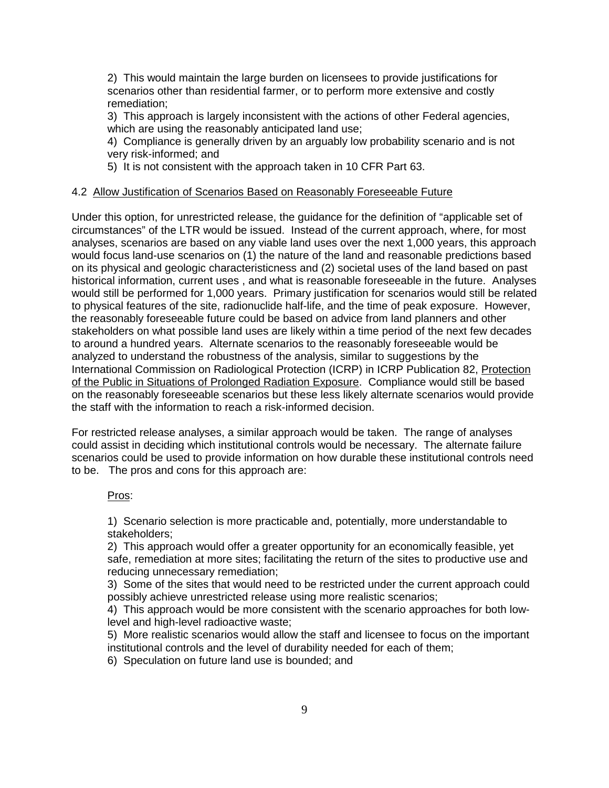2) This would maintain the large burden on licensees to provide justifications for scenarios other than residential farmer, or to perform more extensive and costly remediation;

3) This approach is largely inconsistent with the actions of other Federal agencies, which are using the reasonably anticipated land use;

4) Compliance is generally driven by an arguably low probability scenario and is not very risk-informed; and

5) It is not consistent with the approach taken in 10 CFR Part 63.

# 4.2 Allow Justification of Scenarios Based on Reasonably Foreseeable Future

Under this option, for unrestricted release, the guidance for the definition of "applicable set of circumstances" of the LTR would be issued. Instead of the current approach, where, for most analyses, scenarios are based on any viable land uses over the next 1,000 years, this approach would focus land-use scenarios on (1) the nature of the land and reasonable predictions based on its physical and geologic characteristicness and (2) societal uses of the land based on past historical information, current uses , and what is reasonable foreseeable in the future. Analyses would still be performed for 1,000 years. Primary justification for scenarios would still be related to physical features of the site, radionuclide half-life, and the time of peak exposure. However, the reasonably foreseeable future could be based on advice from land planners and other stakeholders on what possible land uses are likely within a time period of the next few decades to around a hundred years. Alternate scenarios to the reasonably foreseeable would be analyzed to understand the robustness of the analysis, similar to suggestions by the International Commission on Radiological Protection (ICRP) in ICRP Publication 82, Protection of the Public in Situations of Prolonged Radiation Exposure. Compliance would still be based on the reasonably foreseeable scenarios but these less likely alternate scenarios would provide the staff with the information to reach a risk-informed decision.

For restricted release analyses, a similar approach would be taken. The range of analyses could assist in deciding which institutional controls would be necessary. The alternate failure scenarios could be used to provide information on how durable these institutional controls need to be. The pros and cons for this approach are:

### Pros:

1) Scenario selection is more practicable and, potentially, more understandable to stakeholders;

2) This approach would offer a greater opportunity for an economically feasible, yet safe, remediation at more sites; facilitating the return of the sites to productive use and reducing unnecessary remediation;

3) Some of the sites that would need to be restricted under the current approach could possibly achieve unrestricted release using more realistic scenarios;

4) This approach would be more consistent with the scenario approaches for both lowlevel and high-level radioactive waste;

5) More realistic scenarios would allow the staff and licensee to focus on the important institutional controls and the level of durability needed for each of them;

6) Speculation on future land use is bounded; and